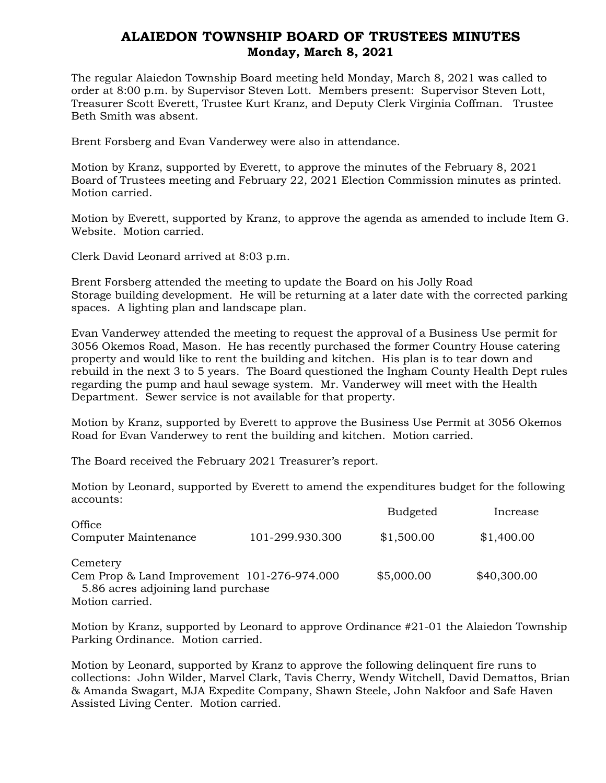## ALAIEDON TOWNSHIP BOARD OF TRUSTEES MINUTES Monday, March 8, 2021

The regular Alaiedon Township Board meeting held Monday, March 8, 2021 was called to order at 8:00 p.m. by Supervisor Steven Lott. Members present: Supervisor Steven Lott, Treasurer Scott Everett, Trustee Kurt Kranz, and Deputy Clerk Virginia Coffman. Trustee Beth Smith was absent.

Brent Forsberg and Evan Vanderwey were also in attendance.

Motion by Kranz, supported by Everett, to approve the minutes of the February 8, 2021 Board of Trustees meeting and February 22, 2021 Election Commission minutes as printed. Motion carried.

Motion by Everett, supported by Kranz, to approve the agenda as amended to include Item G. Website. Motion carried.

Clerk David Leonard arrived at 8:03 p.m.

Brent Forsberg attended the meeting to update the Board on his Jolly Road Storage building development. He will be returning at a later date with the corrected parking spaces. A lighting plan and landscape plan.

Evan Vanderwey attended the meeting to request the approval of a Business Use permit for 3056 Okemos Road, Mason. He has recently purchased the former Country House catering property and would like to rent the building and kitchen. His plan is to tear down and rebuild in the next 3 to 5 years. The Board questioned the Ingham County Health Dept rules regarding the pump and haul sewage system. Mr. Vanderwey will meet with the Health Department. Sewer service is not available for that property.

Motion by Kranz, supported by Everett to approve the Business Use Permit at 3056 Okemos Road for Evan Vanderwey to rent the building and kitchen. Motion carried.

The Board received the February 2021 Treasurer's report.

Motion by Leonard, supported by Everett to amend the expenditures budget for the following accounts:

|                                                |                 | <b>Budgeted</b> | Increase    |
|------------------------------------------------|-----------------|-----------------|-------------|
| Office<br>Computer Maintenance                 | 101-299.930.300 | \$1,500.00      | \$1,400.00  |
| Cemetery                                       |                 |                 |             |
| Cem Prop $\&$ Land Improvement 101-276-974.000 |                 | \$5,000.00      | \$40,300.00 |
| 5.86 acres adjoining land purchase             |                 |                 |             |
| Motion carried.                                |                 |                 |             |

Motion by Kranz, supported by Leonard to approve Ordinance #21-01 the Alaiedon Township Parking Ordinance. Motion carried.

Motion by Leonard, supported by Kranz to approve the following delinquent fire runs to collections: John Wilder, Marvel Clark, Tavis Cherry, Wendy Witchell, David Demattos, Brian & Amanda Swagart, MJA Expedite Company, Shawn Steele, John Nakfoor and Safe Haven Assisted Living Center. Motion carried.